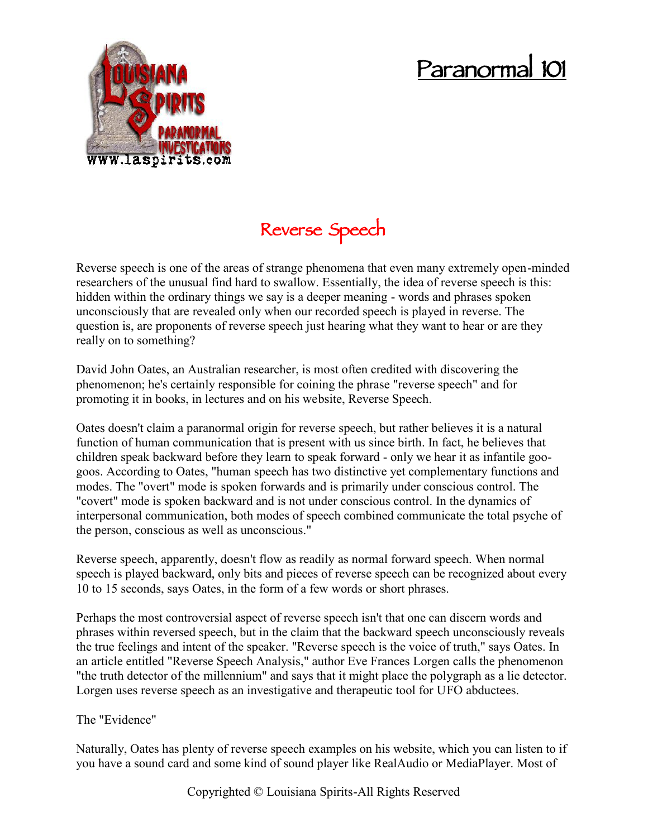## **Paranormal 101**



**Reverse Speech**

Reverse speech is one of the areas of strange phenomena that even many extremely open-minded researchers of the unusual find hard to swallow. Essentially, the idea of reverse speech is this: hidden within the ordinary things we say is a deeper meaning - words and phrases spoken unconsciously that are revealed only when our recorded speech is played in reverse. The question is, are proponents of reverse speech just hearing what they want to hear or are they really on to something?

David John Oates, an Australian researcher, is most often credited with discovering the phenomenon; he's certainly responsible for coining the phrase "reverse speech" and for promoting it in books, in lectures and on his website, Reverse Speech.

Oates doesn't claim a paranormal origin for reverse speech, but rather believes it is a natural function of human communication that is present with us since birth. In fact, he believes that children speak backward before they learn to speak forward - only we hear it as infantile goo goos. According to Oates, "human speech has two distinctive yet complementary functions and modes. The "overt" mode is spoken forwards and is primarily under conscious control. The "covert" mode is spoken backward and is not under conscious control. In the dynamics of interpersonal communication, both modes of speech combined communicate the total psyche of the person, conscious as well as unconscious."

Reverse speech, apparently, doesn't flow as readily as normal forward speech. When normal speech is played backward, only bits and pieces of reverse speech can be recognized about every 10 to 15 seconds, says Oates, in the form of a few words or short phrases.

Perhaps the most controversial aspect of reverse speech isn't that one can discern words and phrases within reversed speech, but in the claim that the backward speech unconsciously reveals the true feelings and intent of the speaker. "Reverse speech is the voice of truth," says Oates. In an article entitled "Reverse Speech Analysis," author Eve Frances Lorgen calls the phenomenon "the truth detector of the millennium" and says that it might place the polygraph as a lie detector. Lorgen uses reverse speech as an investigative and therapeutic tool for UFO abductees.

The "Evidence"

Naturally, Oates has plenty of reverse speech examples on his website, which you can listen to if you have a sound card and some kind of sound player like RealAudio or MediaPlayer. Most of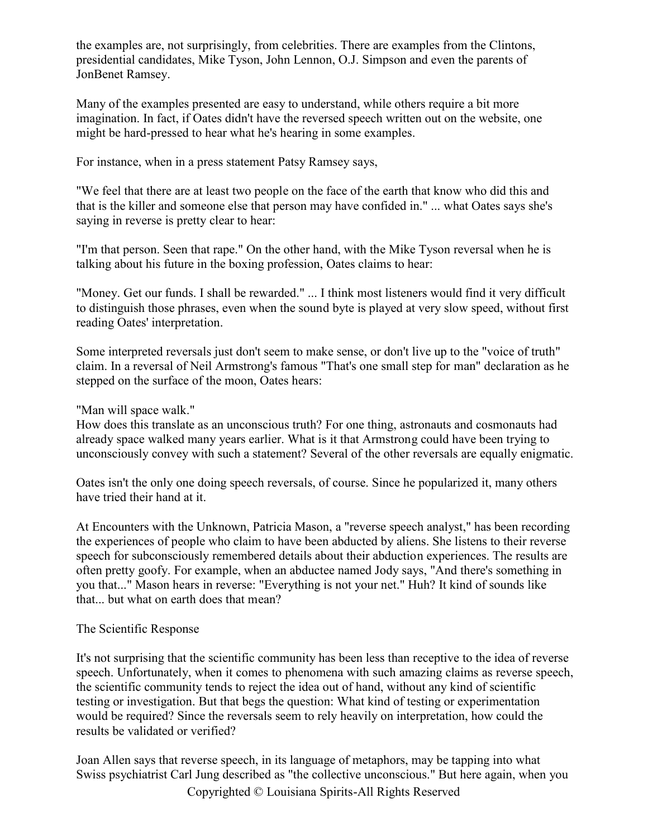the examples are, not surprisingly, from celebrities. There are examples from the Clintons, presidential candidates, Mike Tyson, John Lennon, O.J. Simpson and even the parents of JonBenet Ramsey.

Many of the examples presented are easy to understand, while others require a bit more imagination. In fact, if Oates didn't have the reversed speech written out on the website, one might be hard-pressed to hear what he's hearing in some examples.

For instance, when in a press statement Patsy Ramsey says,

"We feel that there are at least two people on the face of the earth that know who did this and that is the killer and someone else that person may have confided in." ... what Oates says she's saying in reverse is pretty clear to hear:

"I'm that person. Seen that rape." On the other hand, with the Mike Tyson reversal when he is talking about his future in the boxing profession, Oates claims to hear:

"Money. Get our funds. I shall be rewarded." ... I think most listeners would find it very difficult to distinguish those phrases, even when the sound byte is played at very slow speed, without first reading Oates' interpretation.

Some interpreted reversals just don't seem to make sense, or don't live up to the "voice of truth" claim. In a reversal of Neil Armstrong's famous "That's one small step for man" declaration as he stepped on the surface of the moon, Oates hears:

"Man will space walk."

How does this translate as an unconscious truth? For one thing, astronauts and cosmonauts had already space walked many years earlier. What is it that Armstrong could have been trying to unconsciously convey with such a statement? Several of the other reversals are equally enigmatic.

Oates isn't the only one doing speech reversals, of course. Since he popularized it, many others have tried their hand at it.

At Encounters with the Unknown, Patricia Mason, a "reverse speech analyst," has been recording the experiences of people who claim to have been abducted by aliens. She listens to their reverse speech for subconsciously remembered details about their abduction experiences. The results are often pretty goofy. For example, when an abductee named Jody says, "And there's something in you that..." Mason hears in reverse: "Everything is not your net." Huh? It kind of sounds like that... but what on earth does that mean?

## The Scientific Response

It's not surprising that the scientific community has been less than receptive to the idea of reverse speech. Unfortunately, when it comes to phenomena with such amazing claims as reverse speech, the scientific community tends to reject the idea out of hand, without any kind of scientific testing or investigation. But that begs the question: What kind of testing or experimentation would be required? Since the reversals seem to rely heavily on interpretation, how could the results be validated or verified?

Joan Allen says that reverse speech, in its language of metaphors, may be tapping into what Swiss psychiatrist Carl Jung described as "the collective unconscious." But here again, when you

Copyrighted © Louisiana Spirits-All Rights Reserved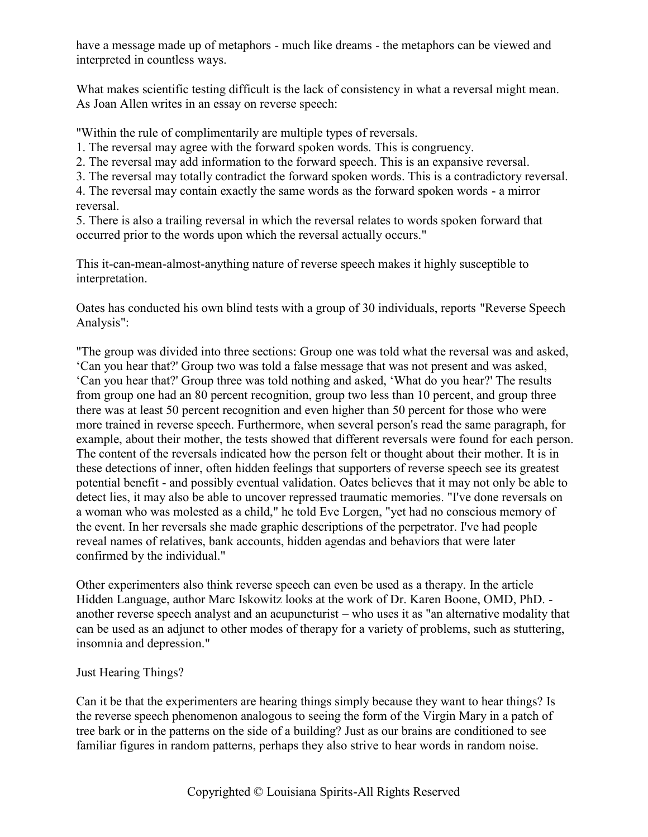have a message made up of metaphors - much like dreams - the metaphors can be viewed and interpreted in countless ways.

What makes scientific testing difficult is the lack of consistency in what a reversal might mean. As Joan Allen writes in an essay on reverse speech:

"Within the rule of complimentarily are multiple types of reversals.

1. The reversal may agree with the forward spoken words. This is congruency.

2. The reversal may add information to the forward speech. This is an expansive reversal.

3. The reversal may totally contradict the forward spoken words. This is a contradictory reversal.

4. The reversal may contain exactly the same words as the forward spoken words - a mirror reversal.

5. There is also a trailing reversal in which the reversal relates to words spoken forward that occurred prior to the words upon which the reversal actually occurs."

This it-can-mean-almost-anything nature of reverse speech makes it highly susceptible to interpretation.

Oates has conducted his own blind tests with a group of 30 individuals, reports "Reverse Speech Analysis":

"The group was divided into three sections: Group one was told what the reversal was and asked, 'Can you hear that?' Group two was told a false message that was not present and was asked, 'Can you hear that?' Group three was told nothing and asked, 'What do you hear?' The results from group one had an 80 percent recognition, group two less than 10 percent, and group three there was at least 50 percent recognition and even higher than 50 percent for those who were more trained in reverse speech. Furthermore, when several person's read the same paragraph, for example, about their mother, the tests showed that different reversals were found for each person. The content of the reversals indicated how the person felt or thought about their mother. It is in these detections of inner, often hidden feelings that supporters of reverse speech see its greatest potential benefit - and possibly eventual validation. Oates believes that it may not only be able to detect lies, it may also be able to uncover repressed traumatic memories. "I've done reversals on a woman who was molested as a child," he told Eve Lorgen, "yet had no conscious memory of the event. In her reversals she made graphic descriptions of the perpetrator. I've had people reveal names of relatives, bank accounts, hidden agendas and behaviors that were later confirmed by the individual."

Other experimenters also think reverse speech can even be used as a therapy. In the article Hidden Language, author Marc Iskowitz looks at the work of Dr. Karen Boone, OMD, PhD. another reverse speech analyst and an acupuncturist – who uses it as "an alternative modality that can be used as an adjunct to other modes of therapy for a variety of problems, such as stuttering, insomnia and depression."

## Just Hearing Things?

Can it be that the experimenters are hearing things simply because they want to hear things? Is the reverse speech phenomenon analogous to seeing the form of the Virgin Mary in a patch of tree bark or in the patterns on the side of a building? Just as our brains are conditioned to see familiar figures in random patterns, perhaps they also strive to hear words in random noise.